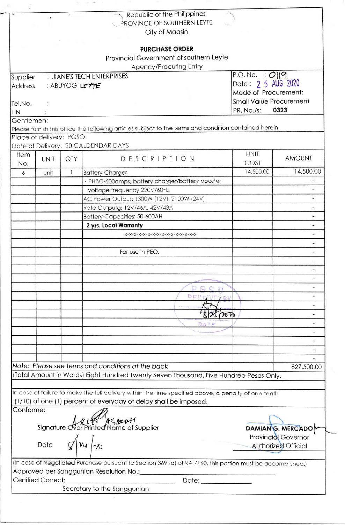|                     | $\bullet$               | $\sim$        | Republic of the Philippines                                                                                 |                                |                            |
|---------------------|-------------------------|---------------|-------------------------------------------------------------------------------------------------------------|--------------------------------|----------------------------|
|                     |                         |               | PROVINCE OF SOUTHERN LEYTE                                                                                  |                                |                            |
|                     |                         |               | City of Maasin                                                                                              |                                |                            |
|                     |                         |               | <b>PURCHASE ORDER</b>                                                                                       |                                |                            |
|                     |                         |               | Provincial Government of southern Leyte                                                                     |                                |                            |
|                     |                         |               | Agency/Procuring Entry                                                                                      |                                |                            |
|                     |                         |               | : JIANE'S TECH ENTERPRISES                                                                                  | P.O. No. : O  q                |                            |
| Supplier<br>Address |                         | : ABUYOG LE力E |                                                                                                             | Date: 2 5 AUG 2020             |                            |
|                     |                         |               |                                                                                                             | Mode of Procurement:           |                            |
| Tel.No.             |                         |               |                                                                                                             | <b>Small Value Procurement</b> |                            |
| <b>TIN</b>          | $\mathcal{L}$           |               |                                                                                                             | PR. No./s:                     | 0323                       |
| Gentlemen:          |                         |               |                                                                                                             |                                |                            |
|                     |                         |               | Please furnish this office the following articles subject to the terms and condition contained herein       |                                |                            |
|                     | Place of delivery: PGSO |               |                                                                                                             |                                |                            |
|                     |                         |               | Date of Delivery: 20 CALDENDAR DAYS                                                                         |                                |                            |
| Item                |                         |               |                                                                                                             | <b>UNIT</b>                    |                            |
| No.                 | <b>UNIT</b>             | QTY           | DESCRIPTION                                                                                                 | COST                           | <b>AMOUNT</b>              |
| 6                   | unit                    | $\mathbf{1}$  | <b>Battery Charger</b>                                                                                      | 14,500.00                      | 14,500.00                  |
|                     |                         |               | - PHBC-600amps, battery charger/battery booster                                                             |                                | $\overline{\phantom{a}}$   |
|                     |                         |               | voltage frequency 220V/60Hz                                                                                 |                                |                            |
|                     |                         |               | AC Power Output: 1300W (12V): 2100W (24V)                                                                   |                                | $\overline{\phantom{a}}$   |
|                     |                         |               | Rate Outputg: 12V/46A, 42V/43A                                                                              |                                | $\sim$                     |
|                     |                         |               | <b>Battery Capacities: 50-600AH</b>                                                                         |                                | ω,                         |
|                     |                         |               | 2 yrs. Local Warranty                                                                                       |                                | ¥.                         |
|                     |                         |               | X-X-X-X-X-X-X-X-X-X-X-X-X-X-X-X-X-X                                                                         |                                | $\overline{\phantom{0}}$   |
|                     |                         |               |                                                                                                             |                                | $\frac{1}{2}$              |
|                     |                         |               | For use in PEO.                                                                                             |                                | ۰                          |
|                     |                         |               |                                                                                                             |                                |                            |
|                     |                         |               |                                                                                                             |                                |                            |
|                     |                         |               |                                                                                                             |                                | ٠                          |
|                     |                         |               |                                                                                                             |                                |                            |
|                     |                         |               | PEREIVE                                                                                                     |                                | $\overline{\phantom{a}}$   |
|                     |                         |               |                                                                                                             |                                |                            |
|                     |                         |               |                                                                                                             |                                |                            |
|                     |                         |               | DA T F                                                                                                      |                                | $\overline{a}$             |
|                     |                         |               |                                                                                                             |                                |                            |
|                     |                         |               |                                                                                                             |                                |                            |
|                     |                         |               |                                                                                                             |                                |                            |
|                     |                         |               |                                                                                                             |                                |                            |
|                     |                         |               | Note: Please see terms and conditions at the back                                                           |                                | 827,500.00                 |
|                     |                         |               | (Total Amount in Words) Eight Hundred Twenty Seven Thousand, Five Hundred Pesos Only.                       |                                |                            |
|                     |                         |               |                                                                                                             |                                |                            |
|                     |                         |               | In case of failure to make the full delivery within the time specified above, a penalty of one-tenth        |                                |                            |
|                     |                         |               | (1/10) of one (1) percent of everyday of delay shall be imposed.                                            |                                |                            |
| Conforme:           |                         |               |                                                                                                             |                                |                            |
|                     |                         |               | Signature Ner Printed Name of Supplier                                                                      |                                |                            |
|                     |                         |               |                                                                                                             |                                | DAMIANG. MERCADO           |
|                     | Date $\sigma$           |               |                                                                                                             |                                | <b>Provincial Governor</b> |
|                     |                         |               | $ w _{\infty}$                                                                                              |                                | <b>Authorized Official</b> |
|                     |                         |               |                                                                                                             |                                |                            |
|                     |                         |               | (In case of Negotiated Purchase pursuant to Section 369 (a) of RA 7160, this portion must be accomplished.) |                                |                            |
|                     |                         |               |                                                                                                             |                                |                            |
|                     |                         |               | Date: ______________                                                                                        |                                |                            |
|                     |                         |               | Secretary to the Sanggunian                                                                                 |                                |                            |